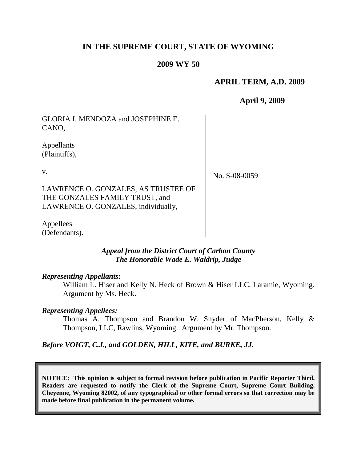# **IN THE SUPREME COURT, STATE OF WYOMING**

## **2009 WY 50**

## **APRIL TERM, A.D. 2009**

**April 9, 2009**

GLORIA I. MENDOZA and JOSEPHINE E. CANO,

Appellants (Plaintiffs),

v.

No. S-08-0059

LAWRENCE O. GONZALES, AS TRUSTEE OF THE GONZALES FAMILY TRUST, and LAWRENCE O. GONZALES, individually,

Appellees (Defendants).

> *Appeal from the District Court of Carbon County The Honorable Wade E. Waldrip, Judge*

### *Representing Appellants:*

William L. Hiser and Kelly N. Heck of Brown & Hiser LLC, Laramie, Wyoming. Argument by Ms. Heck.

#### *Representing Appellees:*

Thomas A. Thompson and Brandon W. Snyder of MacPherson, Kelly & Thompson, LLC, Rawlins, Wyoming. Argument by Mr. Thompson.

*Before VOIGT, C.J., and GOLDEN, HILL, KITE, and BURKE, JJ.*

**NOTICE: This opinion is subject to formal revision before publication in Pacific Reporter Third. Readers are requested to notify the Clerk of the Supreme Court, Supreme Court Building, Cheyenne, Wyoming 82002, of any typographical or other formal errors so that correction may be made before final publication in the permanent volume.**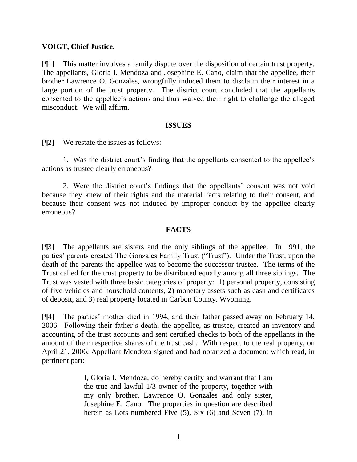## **VOIGT, Chief Justice.**

[¶1] This matter involves a family dispute over the disposition of certain trust property. The appellants, Gloria I. Mendoza and Josephine E. Cano, claim that the appellee, their brother Lawrence O. Gonzales, wrongfully induced them to disclaim their interest in a large portion of the trust property. The district court concluded that the appellants consented to the appellee"s actions and thus waived their right to challenge the alleged misconduct. We will affirm.

### **ISSUES**

[¶2] We restate the issues as follows:

1. Was the district court's finding that the appellants consented to the appellee's actions as trustee clearly erroneous?

2. Were the district court's findings that the appellants' consent was not void because they knew of their rights and the material facts relating to their consent, and because their consent was not induced by improper conduct by the appellee clearly erroneous?

## **FACTS**

[¶3] The appellants are sisters and the only siblings of the appellee. In 1991, the parties' parents created The Gonzales Family Trust ("Trust"). Under the Trust, upon the death of the parents the appellee was to become the successor trustee. The terms of the Trust called for the trust property to be distributed equally among all three siblings. The Trust was vested with three basic categories of property: 1) personal property, consisting of five vehicles and household contents, 2) monetary assets such as cash and certificates of deposit, and 3) real property located in Carbon County, Wyoming.

[¶4] The parties" mother died in 1994, and their father passed away on February 14, 2006. Following their father"s death, the appellee, as trustee, created an inventory and accounting of the trust accounts and sent certified checks to both of the appellants in the amount of their respective shares of the trust cash. With respect to the real property, on April 21, 2006, Appellant Mendoza signed and had notarized a document which read, in pertinent part:

> I, Gloria I. Mendoza, do hereby certify and warrant that I am the true and lawful 1/3 owner of the property, together with my only brother, Lawrence O. Gonzales and only sister, Josephine E. Cano. The properties in question are described herein as Lots numbered Five (5), Six (6) and Seven (7), in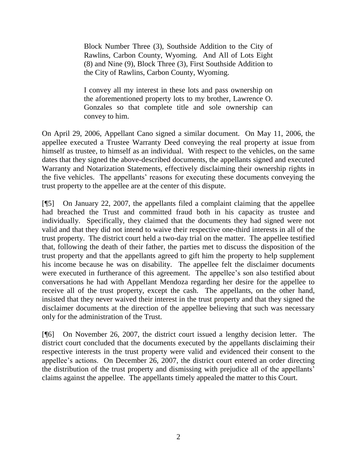Block Number Three (3), Southside Addition to the City of Rawlins, Carbon County, Wyoming. And All of Lots Eight (8) and Nine (9), Block Three (3), First Southside Addition to the City of Rawlins, Carbon County, Wyoming.

I convey all my interest in these lots and pass ownership on the aforementioned property lots to my brother, Lawrence O. Gonzales so that complete title and sole ownership can convey to him.

On April 29, 2006, Appellant Cano signed a similar document. On May 11, 2006, the appellee executed a Trustee Warranty Deed conveying the real property at issue from himself as trustee, to himself as an individual. With respect to the vehicles, on the same dates that they signed the above-described documents, the appellants signed and executed Warranty and Notarization Statements, effectively disclaiming their ownership rights in the five vehicles. The appellants" reasons for executing these documents conveying the trust property to the appellee are at the center of this dispute.

[¶5] On January 22, 2007, the appellants filed a complaint claiming that the appellee had breached the Trust and committed fraud both in his capacity as trustee and individually. Specifically, they claimed that the documents they had signed were not valid and that they did not intend to waive their respective one-third interests in all of the trust property. The district court held a two-day trial on the matter. The appellee testified that, following the death of their father, the parties met to discuss the disposition of the trust property and that the appellants agreed to gift him the property to help supplement his income because he was on disability. The appellee felt the disclaimer documents were executed in furtherance of this agreement. The appellee's son also testified about conversations he had with Appellant Mendoza regarding her desire for the appellee to receive all of the trust property, except the cash. The appellants, on the other hand, insisted that they never waived their interest in the trust property and that they signed the disclaimer documents at the direction of the appellee believing that such was necessary only for the administration of the Trust.

[¶6] On November 26, 2007, the district court issued a lengthy decision letter. The district court concluded that the documents executed by the appellants disclaiming their respective interests in the trust property were valid and evidenced their consent to the appellee's actions. On December 26, 2007, the district court entered an order directing the distribution of the trust property and dismissing with prejudice all of the appellants" claims against the appellee. The appellants timely appealed the matter to this Court.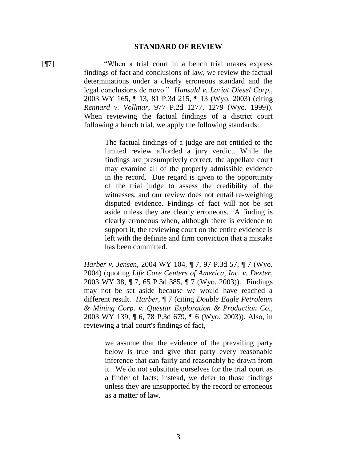#### **STANDARD OF REVIEW**

[¶7] "When a trial court in a bench trial makes express findings of fact and conclusions of law, we review the factual determinations under a clearly erroneous standard and the legal conclusions de novo." *Hansuld v. Lariat Diesel Corp.*, 2003 WY 165, ¶ 13, 81 P.3d 215, ¶ 13 (Wyo. 2003) (citing *Rennard v. Vollmar*, 977 P.2d 1277, 1279 (Wyo. 1999)). When reviewing the factual findings of a district court following a bench trial, we apply the following standards:

> The factual findings of a judge are not entitled to the limited review afforded a jury verdict. While the findings are presumptively correct, the appellate court may examine all of the properly admissible evidence in the record. Due regard is given to the opportunity of the trial judge to assess the credibility of the witnesses, and our review does not entail re-weighing disputed evidence. Findings of fact will not be set aside unless they are clearly erroneous. A finding is clearly erroneous when, although there is evidence to support it, the reviewing court on the entire evidence is left with the definite and firm conviction that a mistake has been committed.

*Harber v. Jensen*, 2004 WY 104, ¶ 7, 97 P.3d 57, ¶ 7 (Wyo. 2004) (quoting *Life Care Centers of America, Inc. v. Dexter*, 2003 WY 38, ¶ 7, 65 P.3d 385, ¶ 7 (Wyo. 2003)). Findings may not be set aside because we would have reached a different result. *Harber*, ¶ 7 (citing *Double Eagle Petroleum & Mining Corp. v. Questar Exploration & Production Co.*, 2003 WY 139, ¶ 6, 78 P.3d 679, ¶ 6 (Wyo. 2003)). Also, in reviewing a trial court's findings of fact,

> we assume that the evidence of the prevailing party below is true and give that party every reasonable inference that can fairly and reasonably be drawn from it. We do not substitute ourselves for the trial court as a finder of facts; instead, we defer to those findings unless they are unsupported by the record or erroneous as a matter of law.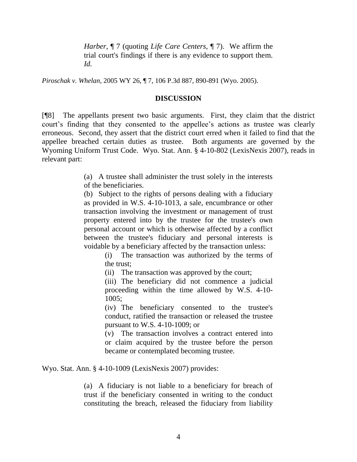*Harber*, ¶ 7 (quoting *Life Care Centers*, ¶ 7). We affirm the trial court's findings if there is any evidence to support them. *Id.*

*Piroschak v. Whelan*, 2005 WY 26, ¶ 7, 106 P.3d 887, 890-891 (Wyo. 2005).

#### **DISCUSSION**

[¶8] The appellants present two basic arguments. First, they claim that the district court's finding that they consented to the appellee's actions as trustee was clearly erroneous. Second, they assert that the district court erred when it failed to find that the appellee breached certain duties as trustee. Both arguments are governed by the Wyoming Uniform Trust Code. Wyo. Stat. Ann. § 4-10-802 (LexisNexis 2007), reads in relevant part:

> (a) A trustee shall administer the trust solely in the interests of the beneficiaries.

> (b) Subject to the rights of persons dealing with a fiduciary as provided in W.S. 4-10-1013, a sale, encumbrance or other transaction involving the investment or management of trust property entered into by the trustee for the trustee's own personal account or which is otherwise affected by a conflict between the trustee's fiduciary and personal interests is voidable by a beneficiary affected by the transaction unless:

> > (i) The transaction was authorized by the terms of the trust;

(ii) The transaction was approved by the court;

(iii) The beneficiary did not commence a judicial proceeding within the time allowed by W.S. 4-10- 1005;

(iv) The beneficiary consented to the trustee's conduct, ratified the transaction or released the trustee pursuant to W.S. 4-10-1009; or

(v) The transaction involves a contract entered into or claim acquired by the trustee before the person became or contemplated becoming trustee.

Wyo. Stat. Ann. § 4-10-1009 (LexisNexis 2007) provides:

(a) A fiduciary is not liable to a beneficiary for breach of trust if the beneficiary consented in writing to the conduct constituting the breach, released the fiduciary from liability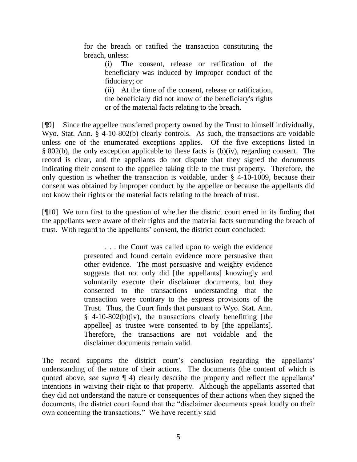for the breach or ratified the transaction constituting the breach, unless:

> (i) The consent, release or ratification of the beneficiary was induced by improper conduct of the fiduciary; or

(ii) At the time of the consent, release or ratification, the beneficiary did not know of the beneficiary's rights or of the material facts relating to the breach.

[¶9] Since the appellee transferred property owned by the Trust to himself individually, Wyo. Stat. Ann. § 4-10-802(b) clearly controls. As such, the transactions are voidable unless one of the enumerated exceptions applies. Of the five exceptions listed in § 802(b), the only exception applicable to these facts is (b)(iv), regarding consent. The record is clear, and the appellants do not dispute that they signed the documents indicating their consent to the appellee taking title to the trust property. Therefore, the only question is whether the transaction is voidable, under § 4-10-1009, because their consent was obtained by improper conduct by the appellee or because the appellants did not know their rights or the material facts relating to the breach of trust.

[¶10] We turn first to the question of whether the district court erred in its finding that the appellants were aware of their rights and the material facts surrounding the breach of trust. With regard to the appellants" consent, the district court concluded:

> . . . the Court was called upon to weigh the evidence presented and found certain evidence more persuasive than other evidence. The most persuasive and weighty evidence suggests that not only did [the appellants] knowingly and voluntarily execute their disclaimer documents, but they consented to the transactions understanding that the transaction were contrary to the express provisions of the Trust. Thus, the Court finds that pursuant to Wyo. Stat. Ann. § 4-10-802(b)(iv), the transactions clearly benefitting [the appellee] as trustee were consented to by [the appellants]. Therefore, the transactions are not voidable and the disclaimer documents remain valid.

The record supports the district court's conclusion regarding the appellants' understanding of the nature of their actions. The documents (the content of which is quoted above, *see supra*  $\P$  4) clearly describe the property and reflect the appellants' intentions in waiving their right to that property. Although the appellants asserted that they did not understand the nature or consequences of their actions when they signed the documents, the district court found that the "disclaimer documents speak loudly on their own concerning the transactions." We have recently said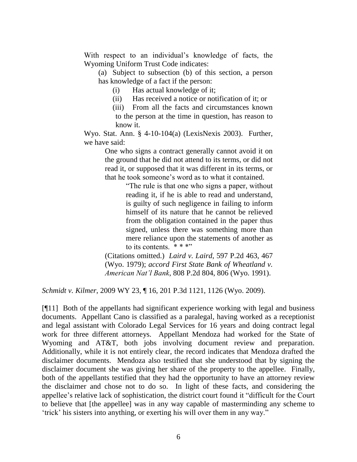With respect to an individual's knowledge of facts, the Wyoming Uniform Trust Code indicates:

(a) Subject to subsection (b) of this section, a person has knowledge of a fact if the person:

(i) Has actual knowledge of it;

(ii) Has received a notice or notification of it; or

(iii) From all the facts and circumstances known to the person at the time in question, has reason to know it.

Wyo. Stat. Ann. § 4-10-104(a) (LexisNexis 2003). Further, we have said:

> One who signs a contract generally cannot avoid it on the ground that he did not attend to its terms, or did not read it, or supposed that it was different in its terms, or that he took someone"s word as to what it contained.

> > "The rule is that one who signs a paper, without reading it, if he is able to read and understand, is guilty of such negligence in failing to inform himself of its nature that he cannot be relieved from the obligation contained in the paper thus signed, unless there was something more than mere reliance upon the statements of another as to its contents.  $* * *$ "

(Citations omitted.) *Laird v. Laird*, 597 P.2d 463, 467 (Wyo. 1979); *accord First State Bank of Wheatland v. American Nat'l Bank*, 808 P.2d 804, 806 (Wyo. 1991).

*Schmidt v. Kilmer*, 2009 WY 23, ¶ 16, 201 P.3d 1121, 1126 (Wyo. 2009).

[¶11] Both of the appellants had significant experience working with legal and business documents. Appellant Cano is classified as a paralegal, having worked as a receptionist and legal assistant with Colorado Legal Services for 16 years and doing contract legal work for three different attorneys. Appellant Mendoza had worked for the State of Wyoming and AT&T, both jobs involving document review and preparation. Additionally, while it is not entirely clear, the record indicates that Mendoza drafted the disclaimer documents. Mendoza also testified that she understood that by signing the disclaimer document she was giving her share of the property to the appellee. Finally, both of the appellants testified that they had the opportunity to have an attorney review the disclaimer and chose not to do so. In light of these facts, and considering the appellee"s relative lack of sophistication, the district court found it "difficult for the Court to believe that [the appellee] was in any way capable of masterminding any scheme to "trick" his sisters into anything, or exerting his will over them in any way."